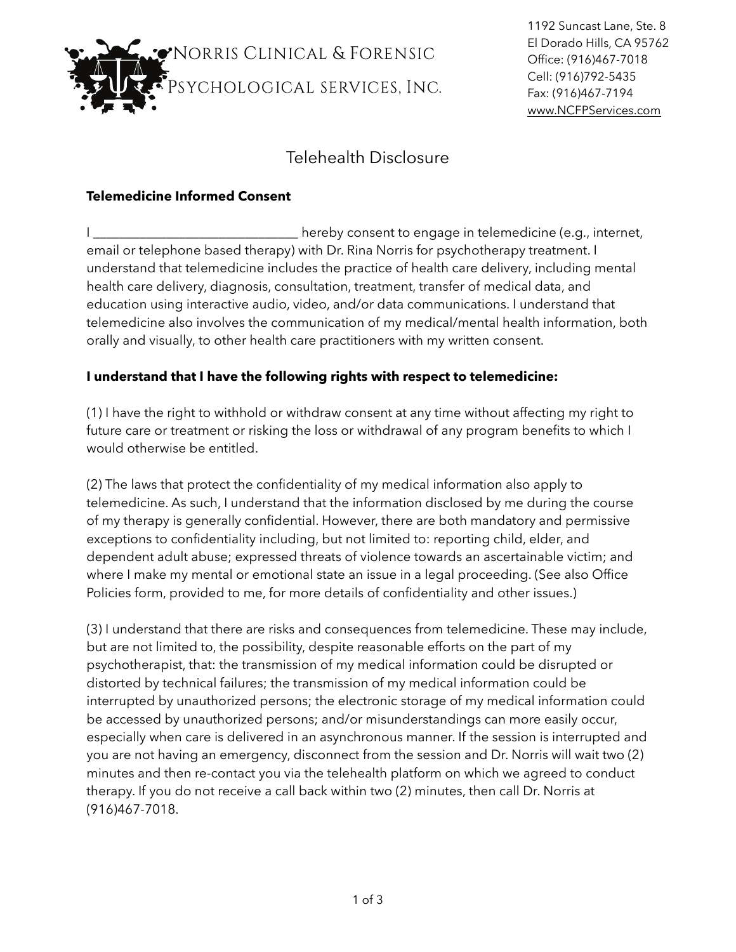

1192 Suncast Lane, Ste. 8 El Dorado Hills, CA 95762 Office: (916)467-7018 Cell: (916)792-5435 Fax: (916)467-7194 [www.NCFPServices.com](http://www.NCFPServices.com)

## Telehealth Disclosure

## **Telemedicine Informed Consent**

I \_\_\_\_\_\_\_\_\_\_\_\_\_\_\_\_\_\_\_\_\_\_\_\_\_\_\_\_\_\_\_\_\_\_\_hereby consent to engage in telemedicine (e.g., internet, email or telephone based therapy) with Dr. Rina Norris for psychotherapy treatment. I understand that telemedicine includes the practice of health care delivery, including mental health care delivery, diagnosis, consultation, treatment, transfer of medical data, and education using interactive audio, video, and/or data communications. I understand that telemedicine also involves the communication of my medical/mental health information, both orally and visually, to other health care practitioners with my written consent.

## **I understand that I have the following rights with respect to telemedicine:**

(1) I have the right to withhold or withdraw consent at any time without affecting my right to future care or treatment or risking the loss or withdrawal of any program benefits to which I would otherwise be entitled.

(2) The laws that protect the confidentiality of my medical information also apply to telemedicine. As such, I understand that the information disclosed by me during the course of my therapy is generally confidential. However, there are both mandatory and permissive exceptions to confidentiality including, but not limited to: reporting child, elder, and dependent adult abuse; expressed threats of violence towards an ascertainable victim; and where I make my mental or emotional state an issue in a legal proceeding. (See also Office Policies form, provided to me, for more details of confidentiality and other issues.)

(3) I understand that there are risks and consequences from telemedicine. These may include, but are not limited to, the possibility, despite reasonable efforts on the part of my psychotherapist, that: the transmission of my medical information could be disrupted or distorted by technical failures; the transmission of my medical information could be interrupted by unauthorized persons; the electronic storage of my medical information could be accessed by unauthorized persons; and/or misunderstandings can more easily occur, especially when care is delivered in an asynchronous manner. If the session is interrupted and you are not having an emergency, disconnect from the session and Dr. Norris will wait two (2) minutes and then re-contact you via the telehealth platform on which we agreed to conduct therapy. If you do not receive a call back within two (2) minutes, then call Dr. Norris at (916)467-7018.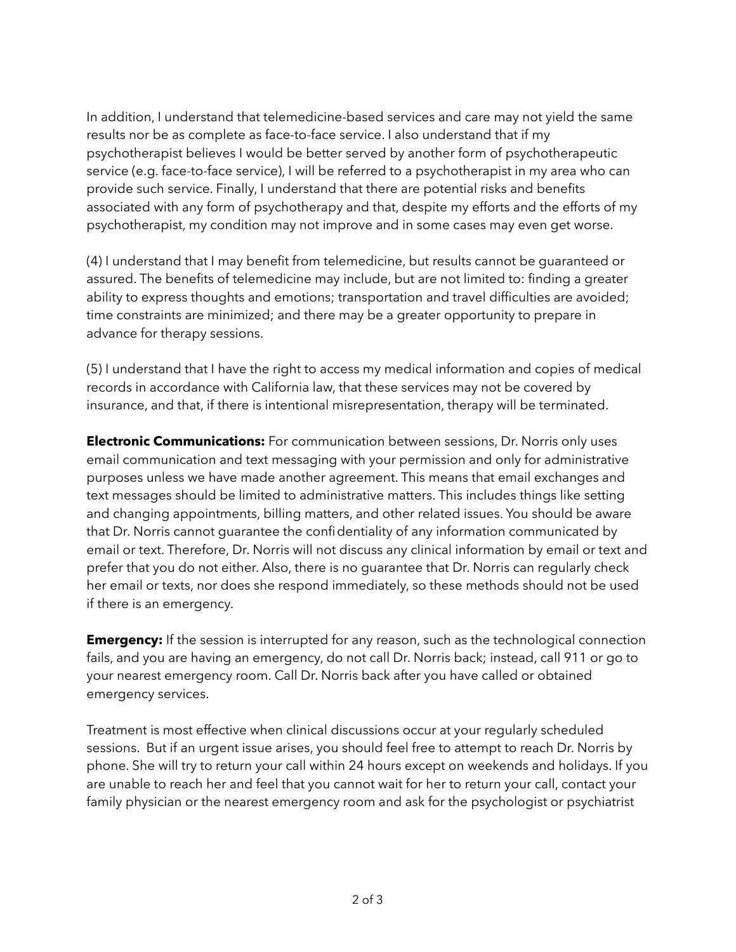In addition, I understand that telemedicine-based services and care may not yield the same results nor be as complete as face-to-face service. I also understand that if my psychotherapist believes I would be better served by another form of psychotherapeutic service (e.g. face-to-face service), I will be referred to a psychotherapist in my area who can provide such service. Finally, I understand that there are potential risks and benefits associated with any form of psychotherapy and that, despite my efforts and the efforts of my psychotherapist, my condition may not improve and in some cases may even get worse.

(4) I understand that I may benefit from telemedicine, but results cannot be guaranteed or assured. The benefits of telemedicine may include, but are not limited to: finding a greater ability to express thoughts and emotions; transportation and travel difficulties are avoided; time constraints are minimized; and there may be a greater opportunity to prepare in advance for therapy sessions.

(5) I understand that I have the right to access my medical information and copies of medical records in accordance with California law, that these services may not be covered by insurance, and that, if there is intentional misrepresentation, therapy will be terminated.

**Electronic Communications:** For communication between sessions, Dr. Norris only uses email communication and text messaging with your permission and only for administrative purposes unless we have made another agreement. This means that email exchanges and text messages should be limited to administrative matters. This includes things like setting and changing appointments, billing matters, and other related issues. You should be aware that Dr. Norris cannot guarantee the confidentiality of any information communicated by email or text. Therefore, Dr. Norris will not discuss any clinical information by email or text and prefer that you do not either. Also, there is no guarantee that Dr. Norris can regularly check her email or texts, nor does she respond immediately, so these methods should not be used if there is an emergency.

**Emergency:** If the session is interrupted for any reason, such as the technological connection fails, and you are having an emergency, do not call Dr. Norris back; instead, call 911 or go to your nearest emergency room. Call Dr. Norris back after you have called or obtained emergency services.

Treatment is most effective when clinical discussions occur at your regularly scheduled sessions. But if an urgent issue arises, you should feel free to attempt to reach Dr. Norris by phone. She will try to return your call within 24 hours except on weekends and holidays. If you are unable to reach her and feel that you cannot wait for her to return your call, contact your family physician or the nearest emergency room and ask for the psychologist or psychiatrist